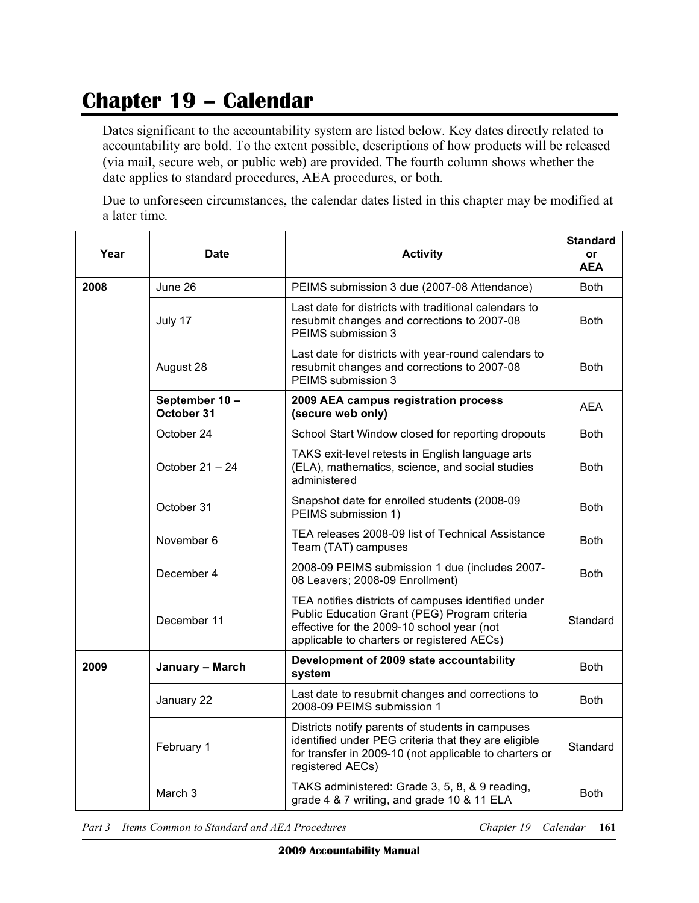## **Chapter 19 – Calendar**

 Dates significant to the accountability system are listed below. Key dates directly related to accountability are bold. To the extent possible, descriptions of how products will be released (via mail, secure web, or public web) are provided. The fourth column shows whether the date applies to standard procedures, AEA procedures, or both.

 Due to unforeseen circumstances, the calendar dates listed in this chapter may be modified at a later time.

| Year | Date                        | <b>Activity</b>                                                                                                                                                                                  | <b>Standard</b><br>or<br><b>AEA</b> |
|------|-----------------------------|--------------------------------------------------------------------------------------------------------------------------------------------------------------------------------------------------|-------------------------------------|
| 2008 | June 26                     | PEIMS submission 3 due (2007-08 Attendance)                                                                                                                                                      | <b>Both</b>                         |
|      | July 17                     | Last date for districts with traditional calendars to<br>resubmit changes and corrections to 2007-08<br>PEIMS submission 3                                                                       | <b>Both</b>                         |
|      | August 28                   | Last date for districts with year-round calendars to<br>resubmit changes and corrections to 2007-08<br>PEIMS submission 3                                                                        | <b>Both</b>                         |
|      | September 10-<br>October 31 | 2009 AEA campus registration process<br>(secure web only)                                                                                                                                        | <b>AEA</b>                          |
|      | October 24                  | School Start Window closed for reporting dropouts                                                                                                                                                | <b>Both</b>                         |
|      | October 21 - 24             | TAKS exit-level retests in English language arts<br>(ELA), mathematics, science, and social studies<br>administered                                                                              | <b>Both</b>                         |
|      | October 31                  | Snapshot date for enrolled students (2008-09<br>PEIMS submission 1)                                                                                                                              | <b>Both</b>                         |
|      | November 6                  | TEA releases 2008-09 list of Technical Assistance<br>Team (TAT) campuses                                                                                                                         | <b>Both</b>                         |
|      | December 4                  | 2008-09 PEIMS submission 1 due (includes 2007-<br>08 Leavers; 2008-09 Enrollment)                                                                                                                | <b>Both</b>                         |
|      | December 11                 | TEA notifies districts of campuses identified under<br>Public Education Grant (PEG) Program criteria<br>effective for the 2009-10 school year (not<br>applicable to charters or registered AECs) | Standard                            |
| 2009 | January - March             | Development of 2009 state accountability<br>system                                                                                                                                               | <b>Both</b>                         |
|      | January 22                  | Last date to resubmit changes and corrections to<br>2008-09 PEIMS submission 1                                                                                                                   | <b>Both</b>                         |
|      | February 1                  | Districts notify parents of students in campuses<br>identified under PEG criteria that they are eligible<br>for transfer in 2009-10 (not applicable to charters or<br>registered AECs)           | Standard                            |
|      | March 3                     | TAKS administered: Grade 3, 5, 8, & 9 reading,<br>grade 4 & 7 writing, and grade 10 & 11 ELA                                                                                                     | <b>Both</b>                         |

Part 3 – Items Common to Standard and AEA Procedures Chapter 19 – Calendar **161**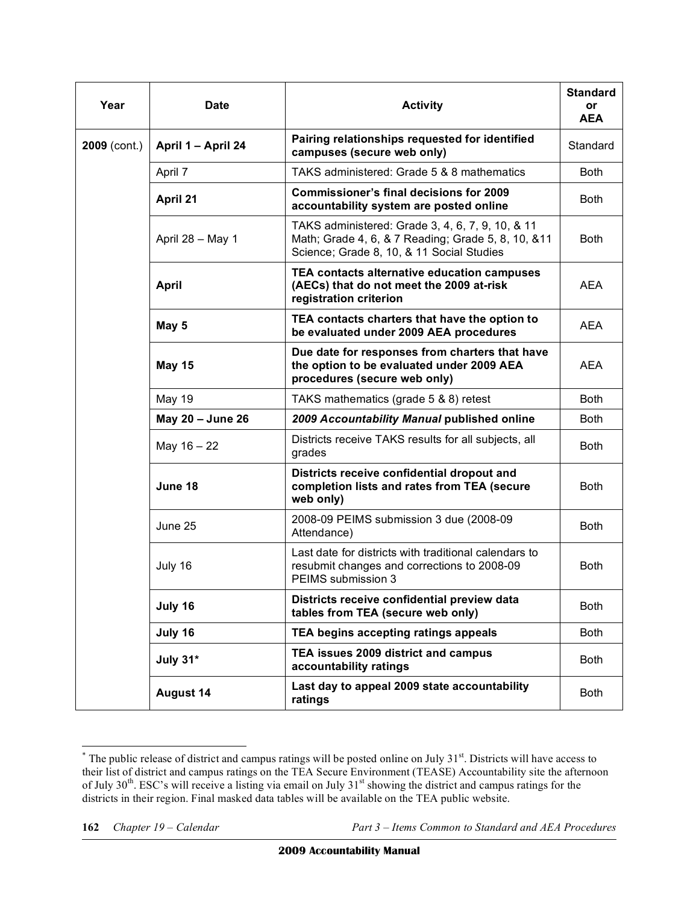| Year           | <b>Date</b>        | <b>Activity</b>                                                                                                                                      | <b>Standard</b><br><b>or</b><br><b>AEA</b> |
|----------------|--------------------|------------------------------------------------------------------------------------------------------------------------------------------------------|--------------------------------------------|
| $2009$ (cont.) | April 1 - April 24 | Pairing relationships requested for identified<br>campuses (secure web only)                                                                         | Standard                                   |
|                | April 7            | TAKS administered: Grade 5 & 8 mathematics                                                                                                           | <b>Both</b>                                |
|                | April 21           | <b>Commissioner's final decisions for 2009</b><br>accountability system are posted online                                                            | <b>Both</b>                                |
|                | April 28 - May 1   | TAKS administered: Grade 3, 4, 6, 7, 9, 10, & 11<br>Math; Grade 4, 6, & 7 Reading; Grade 5, 8, 10, & 11<br>Science; Grade 8, 10, & 11 Social Studies | <b>Both</b>                                |
|                | <b>April</b>       | TEA contacts alternative education campuses<br>(AECs) that do not meet the 2009 at-risk<br>registration criterion                                    | <b>AEA</b>                                 |
|                | May 5              | TEA contacts charters that have the option to<br>be evaluated under 2009 AEA procedures                                                              | AEA                                        |
|                | <b>May 15</b>      | Due date for responses from charters that have<br>the option to be evaluated under 2009 AEA<br>procedures (secure web only)                          | AEA                                        |
|                | <b>May 19</b>      | TAKS mathematics (grade 5 & 8) retest                                                                                                                | <b>Both</b>                                |
|                | May 20 - June 26   | 2009 Accountability Manual published online                                                                                                          | <b>Both</b>                                |
|                | May 16 - 22        | Districts receive TAKS results for all subjects, all<br>grades                                                                                       | Both                                       |
|                | June 18            | Districts receive confidential dropout and<br>completion lists and rates from TEA (secure<br>web only)                                               | <b>Both</b>                                |
|                | June 25            | 2008-09 PEIMS submission 3 due (2008-09<br>Attendance)                                                                                               | <b>Both</b>                                |
|                | July 16            | Last date for districts with traditional calendars to<br>resubmit changes and corrections to 2008-09<br>PEIMS submission 3                           | <b>Both</b>                                |
|                | July 16            | Districts receive confidential preview data<br>tables from TEA (secure web only)                                                                     | <b>Both</b>                                |
|                | July 16            | TEA begins accepting ratings appeals                                                                                                                 | Both                                       |
|                | July 31*           | TEA issues 2009 district and campus<br>accountability ratings                                                                                        | Both                                       |
|                | <b>August 14</b>   | Last day to appeal 2009 state accountability<br>ratings                                                                                              | Both                                       |

 $\overline{a}$ Ì  $*$  The public release of district and campus ratings will be posted online on July 31 $st$ . Districts will have access to their list of district and campus ratings on the TEA Secure Environment (TEASE) Accountability site the afternoon of July  $30<sup>th</sup>$ . ESC's will receive a listing via email on July  $31<sup>st</sup>$  showing the district and campus ratings for the districts in their region. Final masked data tables will be available on the TEA public website.

**<sup>162</sup>** *Chapter 19 – Calendar Part 3 – Items Common to Standard and AEA Procedures*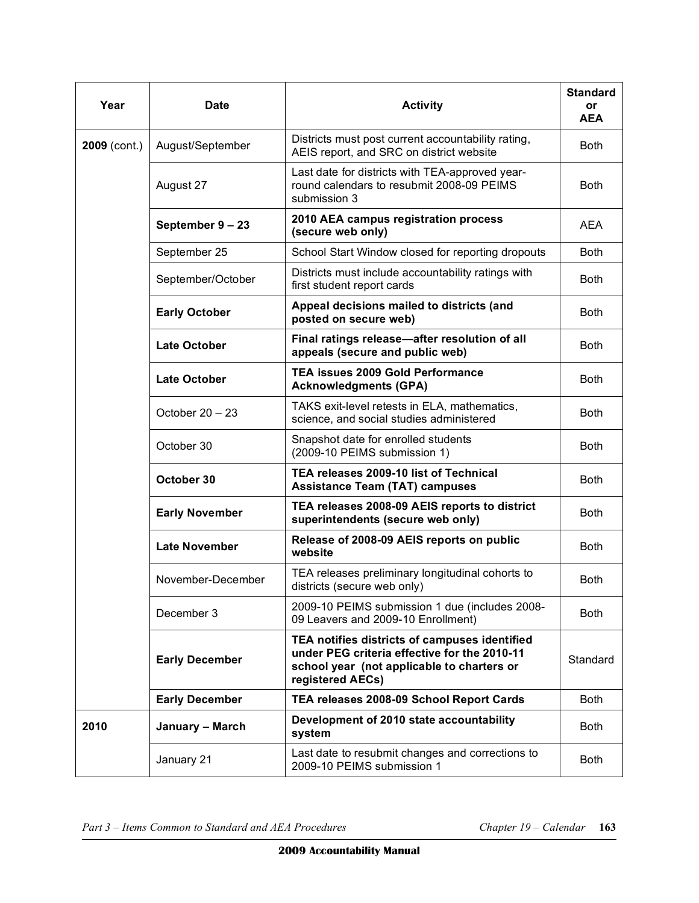| Year           | <b>Date</b>           | <b>Activity</b>                                                                                                                                                 | <b>Standard</b><br>or<br><b>AEA</b> |
|----------------|-----------------------|-----------------------------------------------------------------------------------------------------------------------------------------------------------------|-------------------------------------|
| $2009$ (cont.) | August/September      | Districts must post current accountability rating,<br>AEIS report, and SRC on district website                                                                  | <b>Both</b>                         |
|                | August 27             | Last date for districts with TEA-approved year-<br>round calendars to resubmit 2008-09 PEIMS<br>submission 3                                                    | <b>Both</b>                         |
|                | September 9-23        | 2010 AEA campus registration process<br>(secure web only)                                                                                                       | <b>AEA</b>                          |
|                | September 25          | School Start Window closed for reporting dropouts                                                                                                               | <b>Both</b>                         |
|                | September/October     | Districts must include accountability ratings with<br>first student report cards                                                                                | <b>Both</b>                         |
|                | <b>Early October</b>  | Appeal decisions mailed to districts (and<br>posted on secure web)                                                                                              | <b>Both</b>                         |
|                | <b>Late October</b>   | Final ratings release-after resolution of all<br>appeals (secure and public web)                                                                                | <b>Both</b>                         |
|                | <b>Late October</b>   | <b>TEA issues 2009 Gold Performance</b><br><b>Acknowledgments (GPA)</b>                                                                                         | <b>Both</b>                         |
|                | October $20 - 23$     | TAKS exit-level retests in ELA, mathematics,<br>science, and social studies administered                                                                        | <b>Both</b>                         |
|                | October 30            | Snapshot date for enrolled students<br>(2009-10 PEIMS submission 1)                                                                                             | <b>Both</b>                         |
|                | October 30            | TEA releases 2009-10 list of Technical<br><b>Assistance Team (TAT) campuses</b>                                                                                 | <b>Both</b>                         |
|                | <b>Early November</b> | TEA releases 2008-09 AEIS reports to district<br>superintendents (secure web only)                                                                              | <b>Both</b>                         |
|                | <b>Late November</b>  | Release of 2008-09 AEIS reports on public<br>website                                                                                                            | <b>Both</b>                         |
|                | November-December     | TEA releases preliminary longitudinal cohorts to<br>districts (secure web only)                                                                                 | <b>Both</b>                         |
|                | December 3            | 2009-10 PEIMS submission 1 due (includes 2008-<br>09 Leavers and 2009-10 Enrollment)                                                                            | <b>Both</b>                         |
|                | <b>Early December</b> | TEA notifies districts of campuses identified<br>under PEG criteria effective for the 2010-11<br>school year (not applicable to charters or<br>registered AECs) | Standard                            |
|                | <b>Early December</b> | TEA releases 2008-09 School Report Cards                                                                                                                        | <b>Both</b>                         |
| 2010           | January - March       | Development of 2010 state accountability<br>system                                                                                                              | <b>Both</b>                         |
|                | January 21            | Last date to resubmit changes and corrections to<br>2009-10 PEIMS submission 1                                                                                  | <b>Both</b>                         |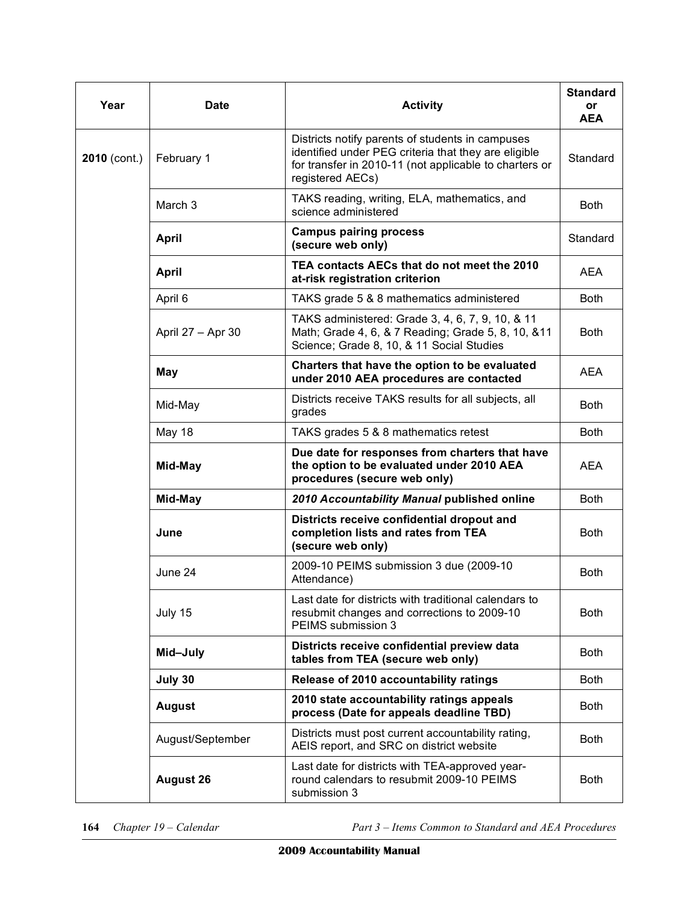| Year           | Date              | <b>Activity</b>                                                                                                                                                                        | <b>Standard</b><br>or<br><b>AEA</b> |
|----------------|-------------------|----------------------------------------------------------------------------------------------------------------------------------------------------------------------------------------|-------------------------------------|
| $2010$ (cont.) | February 1        | Districts notify parents of students in campuses<br>identified under PEG criteria that they are eligible<br>for transfer in 2010-11 (not applicable to charters or<br>registered AECs) | Standard                            |
|                | March 3           | TAKS reading, writing, ELA, mathematics, and<br>science administered                                                                                                                   | <b>Both</b>                         |
|                | <b>April</b>      | <b>Campus pairing process</b><br>(secure web only)                                                                                                                                     | Standard                            |
|                | <b>April</b>      | TEA contacts AECs that do not meet the 2010<br>at-risk registration criterion                                                                                                          | <b>AEA</b>                          |
|                | April 6           | TAKS grade 5 & 8 mathematics administered                                                                                                                                              | <b>Both</b>                         |
|                | April 27 - Apr 30 | TAKS administered: Grade 3, 4, 6, 7, 9, 10, & 11<br>Math; Grade 4, 6, & 7 Reading; Grade 5, 8, 10, & 11<br>Science; Grade 8, 10, & 11 Social Studies                                   | <b>Both</b>                         |
|                | <b>May</b>        | Charters that have the option to be evaluated<br>under 2010 AEA procedures are contacted                                                                                               | <b>AEA</b>                          |
|                | Mid-May           | Districts receive TAKS results for all subjects, all<br>grades                                                                                                                         | <b>Both</b>                         |
|                | <b>May 18</b>     | TAKS grades 5 & 8 mathematics retest                                                                                                                                                   | <b>Both</b>                         |
|                | Mid-May           | Due date for responses from charters that have<br>the option to be evaluated under 2010 AEA<br>procedures (secure web only)                                                            | <b>AEA</b>                          |
|                | Mid-May           | 2010 Accountability Manual published online                                                                                                                                            | <b>Both</b>                         |
|                | June              | Districts receive confidential dropout and<br>completion lists and rates from TEA<br>(secure web only)                                                                                 | <b>Both</b>                         |
|                | June 24           | 2009-10 PEIMS submission 3 due (2009-10)<br>Attendance)                                                                                                                                | <b>Both</b>                         |
|                | July 15           | Last date for districts with traditional calendars to<br>resubmit changes and corrections to 2009-10<br>PEIMS submission 3                                                             | <b>Both</b>                         |
|                | Mid-July          | Districts receive confidential preview data<br>tables from TEA (secure web only)                                                                                                       | <b>Both</b>                         |
|                | July 30           | Release of 2010 accountability ratings                                                                                                                                                 | <b>Both</b>                         |
|                | <b>August</b>     | 2010 state accountability ratings appeals<br>process (Date for appeals deadline TBD)                                                                                                   | <b>Both</b>                         |
|                | August/September  | Districts must post current accountability rating,<br>AEIS report, and SRC on district website                                                                                         | <b>Both</b>                         |
|                | <b>August 26</b>  | Last date for districts with TEA-approved year-<br>round calendars to resubmit 2009-10 PEIMS<br>submission 3                                                                           | <b>Both</b>                         |

Chapter 19 - Calendar

**164** *Chapter 19 – Calendar Part 3 – Items Common to Standard and AEA Procedures*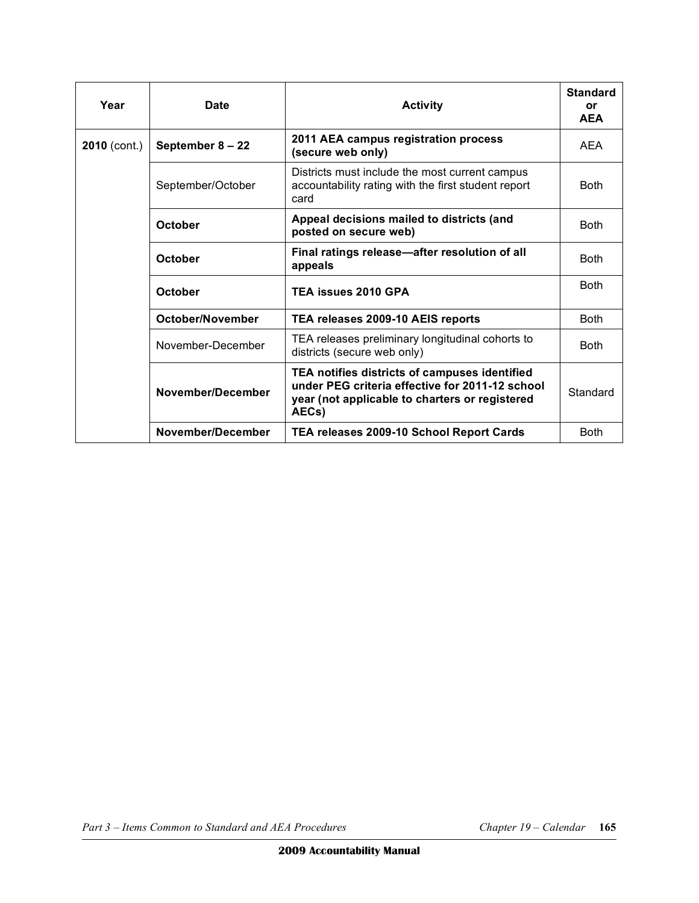| Year           | Date               | <b>Activity</b>                                                                                                                                             | <b>Standard</b><br>or<br><b>AEA</b> |
|----------------|--------------------|-------------------------------------------------------------------------------------------------------------------------------------------------------------|-------------------------------------|
| $2010$ (cont.) | September $8 - 22$ | 2011 AEA campus registration process<br>(secure web only)                                                                                                   | AFA                                 |
|                | September/October  | Districts must include the most current campus<br>accountability rating with the first student report<br>card                                               | <b>Both</b>                         |
|                | October            | Appeal decisions mailed to districts (and<br>posted on secure web)                                                                                          | <b>Both</b>                         |
|                | October            | Final ratings release-after resolution of all<br>appeals                                                                                                    | <b>Both</b>                         |
|                | <b>October</b>     | TEA issues 2010 GPA                                                                                                                                         | <b>Both</b>                         |
|                | October/November   | TEA releases 2009-10 AEIS reports                                                                                                                           | <b>Both</b>                         |
|                | November-December  | TEA releases preliminary longitudinal cohorts to<br>districts (secure web only)                                                                             | <b>Both</b>                         |
|                | November/December  | TEA notifies districts of campuses identified<br>under PEG criteria effective for 2011-12 school<br>year (not applicable to charters or registered<br>AECs) | Standard                            |
|                | November/December  | TEA releases 2009-10 School Report Cards                                                                                                                    | <b>Both</b>                         |